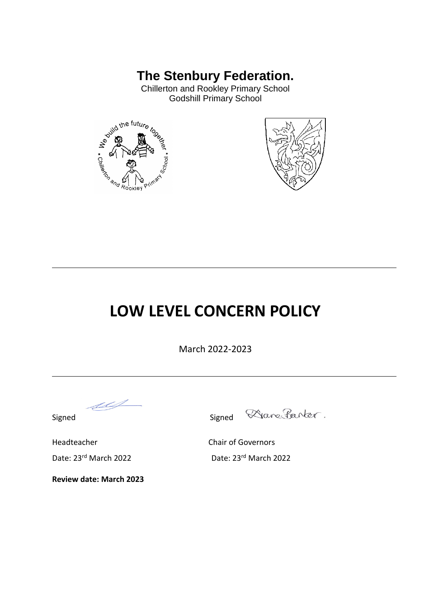# **The Stenbury Federation.**

Godshill Primary School





# **LOW LEVEL CONCERN POLICY**

March 2022-2023

Signed Signed

Dane Parter.

Headteacher Chair of Governors

**Review date: March 2023**

Date: 23<sup>rd</sup> March 2022 Date: 23<sup>rd</sup> March 2022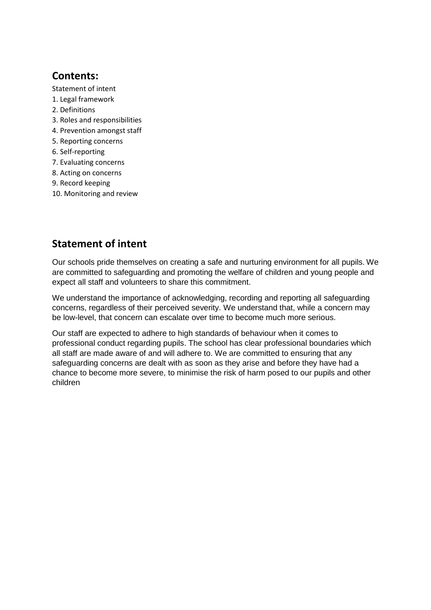# **Contents:**

- Statement of intent
- 1. Legal framework
- 2. Definitions
- 3. Roles and responsibilities
- 4. Prevention amongst staff
- 5. Reporting concerns
- 6. Self-reporting
- 7. Evaluating concerns
- 8. Acting on concerns
- 9. Record keeping
- 10. Monitoring and review

# **Statement of intent**

Our schools pride themselves on creating a safe and nurturing environment for all pupils. We are committed to safeguarding and promoting the welfare of children and young people and expect all staff and volunteers to share this commitment.

We understand the importance of acknowledging, recording and reporting all safeguarding concerns, regardless of their perceived severity. We understand that, while a concern may be low-level, that concern can escalate over time to become much more serious.

Our staff are expected to adhere to high standards of behaviour when it comes to professional conduct regarding pupils. The school has clear professional boundaries which all staff are made aware of and will adhere to. We are committed to ensuring that any safeguarding concerns are dealt with as soon as they arise and before they have had a chance to become more severe, to minimise the risk of harm posed to our pupils and other children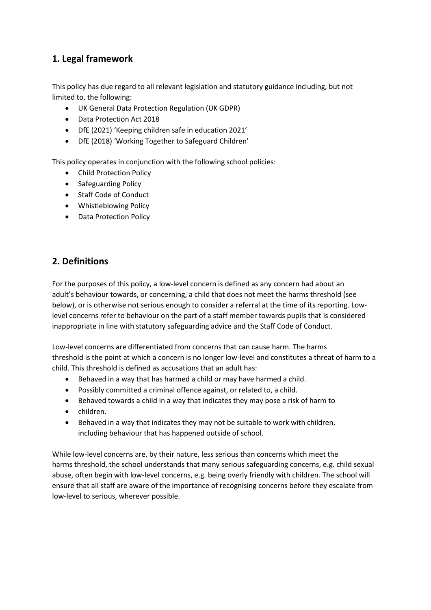# **1. Legal framework**

This policy has due regard to all relevant legislation and statutory guidance including, but not limited to, the following:

- UK General Data Protection Regulation (UK GDPR)
- Data Protection Act 2018
- DfE (2021) 'Keeping children safe in education 2021'
- DfE (2018) 'Working Together to Safeguard Children'

This policy operates in conjunction with the following school policies:

- Child Protection Policy
- Safeguarding Policy
- Staff Code of Conduct
- Whistleblowing Policy
- Data Protection Policy

# **2. Definitions**

For the purposes of this policy, a low-level concern is defined as any concern had about an adult's behaviour towards, or concerning, a child that does not meet the harms threshold (see below), or is otherwise not serious enough to consider a referral at the time of its reporting. Lowlevel concerns refer to behaviour on the part of a staff member towards pupils that is considered inappropriate in line with statutory safeguarding advice and the Staff Code of Conduct.

Low-level concerns are differentiated from concerns that can cause harm. The harms threshold is the point at which a concern is no longer low-level and constitutes a threat of harm to a child. This threshold is defined as accusations that an adult has:

- Behaved in a way that has harmed a child or may have harmed a child.
- Possibly committed a criminal offence against, or related to, a child.
- Behaved towards a child in a way that indicates they may pose a risk of harm to
- children.
- Behaved in a way that indicates they may not be suitable to work with children, including behaviour that has happened outside of school.

While low-level concerns are, by their nature, less serious than concerns which meet the harms threshold, the school understands that many serious safeguarding concerns, e.g. child sexual abuse, often begin with low-level concerns, e.g. being overly friendly with children. The school will ensure that all staff are aware of the importance of recognising concerns before they escalate from low-level to serious, wherever possible.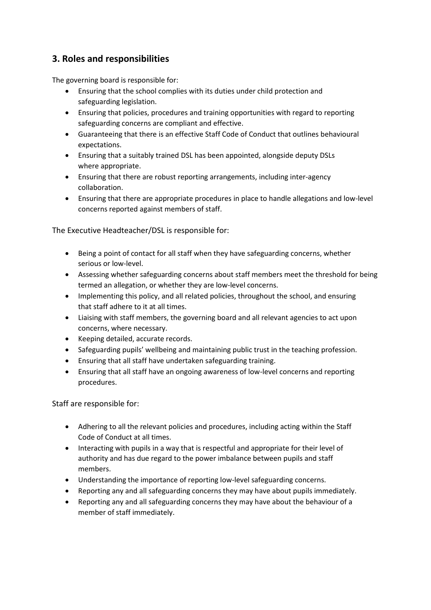# **3. Roles and responsibilities**

The governing board is responsible for:

- Ensuring that the school complies with its duties under child protection and safeguarding legislation.
- Ensuring that policies, procedures and training opportunities with regard to reporting safeguarding concerns are compliant and effective.
- Guaranteeing that there is an effective Staff Code of Conduct that outlines behavioural expectations.
- Ensuring that a suitably trained DSL has been appointed, alongside deputy DSLs where appropriate.
- Ensuring that there are robust reporting arrangements, including inter-agency collaboration.
- Ensuring that there are appropriate procedures in place to handle allegations and low-level concerns reported against members of staff.

The Executive Headteacher/DSL is responsible for:

- Being a point of contact for all staff when they have safeguarding concerns, whether serious or low-level.
- Assessing whether safeguarding concerns about staff members meet the threshold for being termed an allegation, or whether they are low-level concerns.
- Implementing this policy, and all related policies, throughout the school, and ensuring that staff adhere to it at all times.
- Liaising with staff members, the governing board and all relevant agencies to act upon concerns, where necessary.
- Keeping detailed, accurate records.
- Safeguarding pupils' wellbeing and maintaining public trust in the teaching profession.
- Ensuring that all staff have undertaken safeguarding training.
- Ensuring that all staff have an ongoing awareness of low-level concerns and reporting procedures.

Staff are responsible for:

- Adhering to all the relevant policies and procedures, including acting within the Staff Code of Conduct at all times.
- Interacting with pupils in a way that is respectful and appropriate for their level of authority and has due regard to the power imbalance between pupils and staff members.
- Understanding the importance of reporting low-level safeguarding concerns.
- Reporting any and all safeguarding concerns they may have about pupils immediately.
- Reporting any and all safeguarding concerns they may have about the behaviour of a member of staff immediately.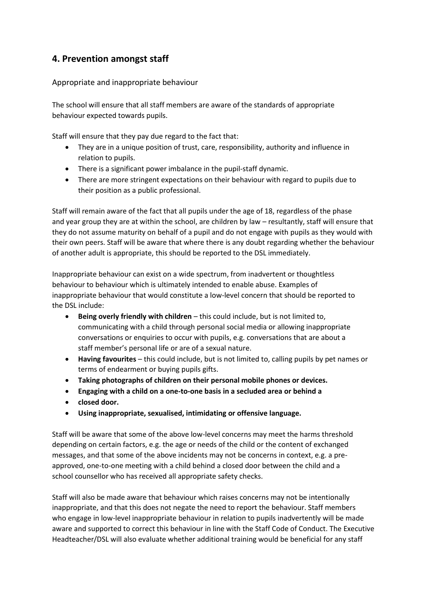# **4. Prevention amongst staff**

#### Appropriate and inappropriate behaviour

The school will ensure that all staff members are aware of the standards of appropriate behaviour expected towards pupils.

Staff will ensure that they pay due regard to the fact that:

- They are in a unique position of trust, care, responsibility, authority and influence in relation to pupils.
- There is a significant power imbalance in the pupil-staff dynamic.
- There are more stringent expectations on their behaviour with regard to pupils due to their position as a public professional.

Staff will remain aware of the fact that all pupils under the age of 18, regardless of the phase and year group they are at within the school, are children by law – resultantly, staff will ensure that they do not assume maturity on behalf of a pupil and do not engage with pupils as they would with their own peers. Staff will be aware that where there is any doubt regarding whether the behaviour of another adult is appropriate, this should be reported to the DSL immediately.

Inappropriate behaviour can exist on a wide spectrum, from inadvertent or thoughtless behaviour to behaviour which is ultimately intended to enable abuse. Examples of inappropriate behaviour that would constitute a low-level concern that should be reported to the DSL include:

- **Being overly friendly with children** this could include, but is not limited to, communicating with a child through personal social media or allowing inappropriate conversations or enquiries to occur with pupils, e.g. conversations that are about a staff member's personal life or are of a sexual nature.
- **Having favourites** this could include, but is not limited to, calling pupils by pet names or terms of endearment or buying pupils gifts.
- **Taking photographs of children on their personal mobile phones or devices.**
- **Engaging with a child on a one-to-one basis in a secluded area or behind a**
- **closed door.**
- **Using inappropriate, sexualised, intimidating or offensive language.**

Staff will be aware that some of the above low-level concerns may meet the harms threshold depending on certain factors, e.g. the age or needs of the child or the content of exchanged messages, and that some of the above incidents may not be concerns in context, e.g. a preapproved, one-to-one meeting with a child behind a closed door between the child and a school counsellor who has received all appropriate safety checks.

Staff will also be made aware that behaviour which raises concerns may not be intentionally inappropriate, and that this does not negate the need to report the behaviour. Staff members who engage in low-level inappropriate behaviour in relation to pupils inadvertently will be made aware and supported to correct this behaviour in line with the Staff Code of Conduct. The Executive Headteacher/DSL will also evaluate whether additional training would be beneficial for any staff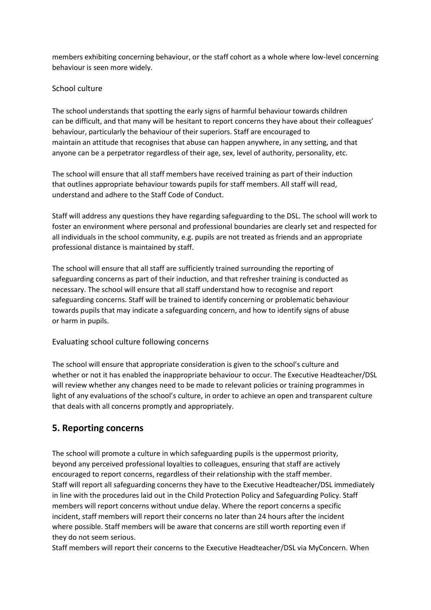members exhibiting concerning behaviour, or the staff cohort as a whole where low-level concerning behaviour is seen more widely.

#### School culture

The school understands that spotting the early signs of harmful behaviour towards children can be difficult, and that many will be hesitant to report concerns they have about their colleagues' behaviour, particularly the behaviour of their superiors. Staff are encouraged to maintain an attitude that recognises that abuse can happen anywhere, in any setting, and that anyone can be a perpetrator regardless of their age, sex, level of authority, personality, etc.

The school will ensure that all staff members have received training as part of their induction that outlines appropriate behaviour towards pupils for staff members. All staff will read, understand and adhere to the Staff Code of Conduct.

Staff will address any questions they have regarding safeguarding to the DSL. The school will work to foster an environment where personal and professional boundaries are clearly set and respected for all individuals in the school community, e.g. pupils are not treated as friends and an appropriate professional distance is maintained by staff.

The school will ensure that all staff are sufficiently trained surrounding the reporting of safeguarding concerns as part of their induction, and that refresher training is conducted as necessary. The school will ensure that all staff understand how to recognise and report safeguarding concerns. Staff will be trained to identify concerning or problematic behaviour towards pupils that may indicate a safeguarding concern, and how to identify signs of abuse or harm in pupils.

#### Evaluating school culture following concerns

The school will ensure that appropriate consideration is given to the school's culture and whether or not it has enabled the inappropriate behaviour to occur. The Executive Headteacher/DSL will review whether any changes need to be made to relevant policies or training programmes in light of any evaluations of the school's culture, in order to achieve an open and transparent culture that deals with all concerns promptly and appropriately.

## **5. Reporting concerns**

The school will promote a culture in which safeguarding pupils is the uppermost priority, beyond any perceived professional loyalties to colleagues, ensuring that staff are actively encouraged to report concerns, regardless of their relationship with the staff member. Staff will report all safeguarding concerns they have to the Executive Headteacher/DSL immediately in line with the procedures laid out in the Child Protection Policy and Safeguarding Policy. Staff members will report concerns without undue delay. Where the report concerns a specific incident, staff members will report their concerns no later than 24 hours after the incident where possible. Staff members will be aware that concerns are still worth reporting even if they do not seem serious.

Staff members will report their concerns to the Executive Headteacher/DSL via MyConcern. When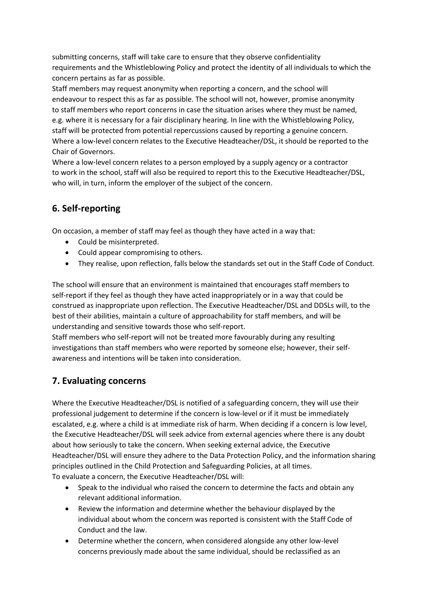submitting concerns, staff will take care to ensure that they observe confidentiality requirements and the Whistleblowing Policy and protect the identity of all individuals to which the concern pertains as far as possible.

Staff members may request anonymity when reporting a concern, and the school will endeavour to respect this as far as possible. The school will not, however, promise anonymity to staff members who report concerns in case the situation arises where they must be named, e.g. where it is necessary for a fair disciplinary hearing. In line with the Whistleblowing Policy, staff will be protected from potential repercussions caused by reporting a genuine concern. Where a low-level concern relates to the Executive Headteacher/DSL, it should be reported to the Chair of Governors.

Where a low-level concern relates to a person employed by a supply agency or a contractor to work in the school, staff will also be required to report this to the Executive Headteacher/DSL, who will, in turn, inform the employer of the subject of the concern.

# **6. Self-reporting**

On occasion, a member of staff may feel as though they have acted in a way that:

- Could be misinterpreted.
- Could appear compromising to others.
- They realise, upon reflection, falls below the standards set out in the Staff Code of Conduct.

The school will ensure that an environment is maintained that encourages staff members to self-report if they feel as though they have acted inappropriately or in a way that could be construed as inappropriate upon reflection. The Executive Headteacher/DSL and DDSLs will, to the best of their abilities, maintain a culture of approachability for staff members, and will be understanding and sensitive towards those who self-report.

Staff members who self-report will not be treated more favourably during any resulting investigations than staff members who were reported by someone else; however, their selfawareness and intentions will be taken into consideration.

# **7. Evaluating concerns**

Where the Executive Headteacher/DSL is notified of a safeguarding concern, they will use their professional judgement to determine if the concern is low-level or if it must be immediately escalated, e.g. where a child is at immediate risk of harm. When deciding if a concern is low level, the Executive Headteacher/DSL will seek advice from external agencies where there is any doubt about how seriously to take the concern. When seeking external advice, the Executive Headteacher/DSL will ensure they adhere to the Data Protection Policy, and the information sharing principles outlined in the Child Protection and Safeguarding Policies, at all times. To evaluate a concern, the Executive Headteacher/DSL will:

- Speak to the individual who raised the concern to determine the facts and obtain any relevant additional information.
- Review the information and determine whether the behaviour displayed by the individual about whom the concern was reported is consistent with the Staff Code of Conduct and the law.
- Determine whether the concern, when considered alongside any other low-level concerns previously made about the same individual, should be reclassified as an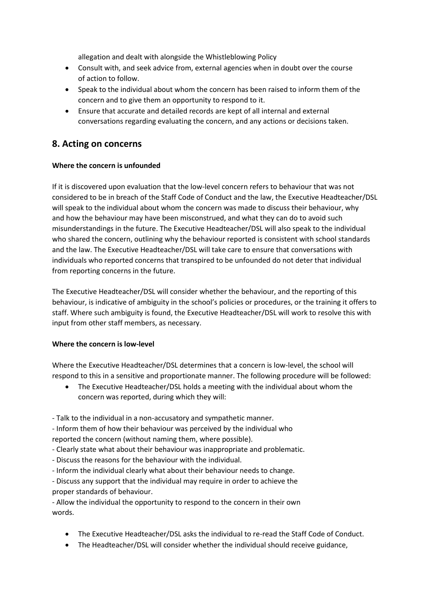allegation and dealt with alongside the Whistleblowing Policy

- Consult with, and seek advice from, external agencies when in doubt over the course of action to follow.
- Speak to the individual about whom the concern has been raised to inform them of the concern and to give them an opportunity to respond to it.
- Ensure that accurate and detailed records are kept of all internal and external conversations regarding evaluating the concern, and any actions or decisions taken.

### **8. Acting on concerns**

#### **Where the concern is unfounded**

If it is discovered upon evaluation that the low-level concern refers to behaviour that was not considered to be in breach of the Staff Code of Conduct and the law, the Executive Headteacher/DSL will speak to the individual about whom the concern was made to discuss their behaviour, why and how the behaviour may have been misconstrued, and what they can do to avoid such misunderstandings in the future. The Executive Headteacher/DSL will also speak to the individual who shared the concern, outlining why the behaviour reported is consistent with school standards and the law. The Executive Headteacher/DSL will take care to ensure that conversations with individuals who reported concerns that transpired to be unfounded do not deter that individual from reporting concerns in the future.

The Executive Headteacher/DSL will consider whether the behaviour, and the reporting of this behaviour, is indicative of ambiguity in the school's policies or procedures, or the training it offers to staff. Where such ambiguity is found, the Executive Headteacher/DSL will work to resolve this with input from other staff members, as necessary.

#### **Where the concern is low-level**

Where the Executive Headteacher/DSL determines that a concern is low-level, the school will respond to this in a sensitive and proportionate manner. The following procedure will be followed:

 The Executive Headteacher/DSL holds a meeting with the individual about whom the concern was reported, during which they will:

- Talk to the individual in a non-accusatory and sympathetic manner.

- Inform them of how their behaviour was perceived by the individual who reported the concern (without naming them, where possible).

- Clearly state what about their behaviour was inappropriate and problematic.
- Discuss the reasons for the behaviour with the individual.
- Inform the individual clearly what about their behaviour needs to change.

- Discuss any support that the individual may require in order to achieve the proper standards of behaviour.

- Allow the individual the opportunity to respond to the concern in their own words.

- The Executive Headteacher/DSL asks the individual to re-read the Staff Code of Conduct.
- The Headteacher/DSL will consider whether the individual should receive guidance,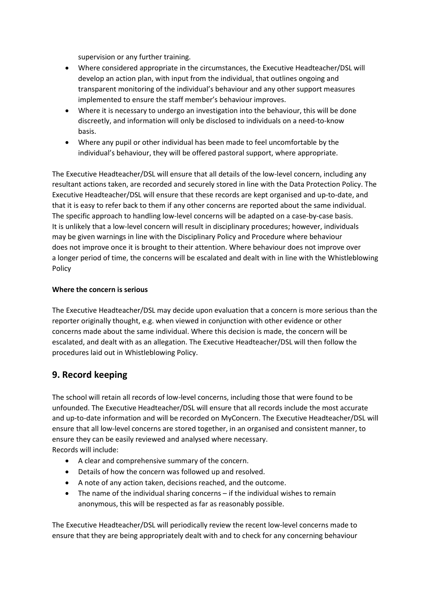supervision or any further training.

- Where considered appropriate in the circumstances, the Executive Headteacher/DSL will develop an action plan, with input from the individual, that outlines ongoing and transparent monitoring of the individual's behaviour and any other support measures implemented to ensure the staff member's behaviour improves.
- Where it is necessary to undergo an investigation into the behaviour, this will be done discreetly, and information will only be disclosed to individuals on a need-to-know basis.
- Where any pupil or other individual has been made to feel uncomfortable by the individual's behaviour, they will be offered pastoral support, where appropriate.

The Executive Headteacher/DSL will ensure that all details of the low-level concern, including any resultant actions taken, are recorded and securely stored in line with the Data Protection Policy. The Executive Headteacher/DSL will ensure that these records are kept organised and up-to-date, and that it is easy to refer back to them if any other concerns are reported about the same individual. The specific approach to handling low-level concerns will be adapted on a case-by-case basis. It is unlikely that a low-level concern will result in disciplinary procedures; however, individuals may be given warnings in line with the Disciplinary Policy and Procedure where behaviour does not improve once it is brought to their attention. Where behaviour does not improve over a longer period of time, the concerns will be escalated and dealt with in line with the Whistleblowing Policy

#### **Where the concern is serious**

The Executive Headteacher/DSL may decide upon evaluation that a concern is more serious than the reporter originally thought, e.g. when viewed in conjunction with other evidence or other concerns made about the same individual. Where this decision is made, the concern will be escalated, and dealt with as an allegation. The Executive Headteacher/DSL will then follow the procedures laid out in Whistleblowing Policy.

## **9. Record keeping**

The school will retain all records of low-level concerns, including those that were found to be unfounded. The Executive Headteacher/DSL will ensure that all records include the most accurate and up-to-date information and will be recorded on MyConcern. The Executive Headteacher/DSL will ensure that all low-level concerns are stored together, in an organised and consistent manner, to ensure they can be easily reviewed and analysed where necessary. Records will include:

- A clear and comprehensive summary of the concern.
- Details of how the concern was followed up and resolved.
- A note of any action taken, decisions reached, and the outcome.
- The name of the individual sharing concerns if the individual wishes to remain anonymous, this will be respected as far as reasonably possible.

The Executive Headteacher/DSL will periodically review the recent low-level concerns made to ensure that they are being appropriately dealt with and to check for any concerning behaviour